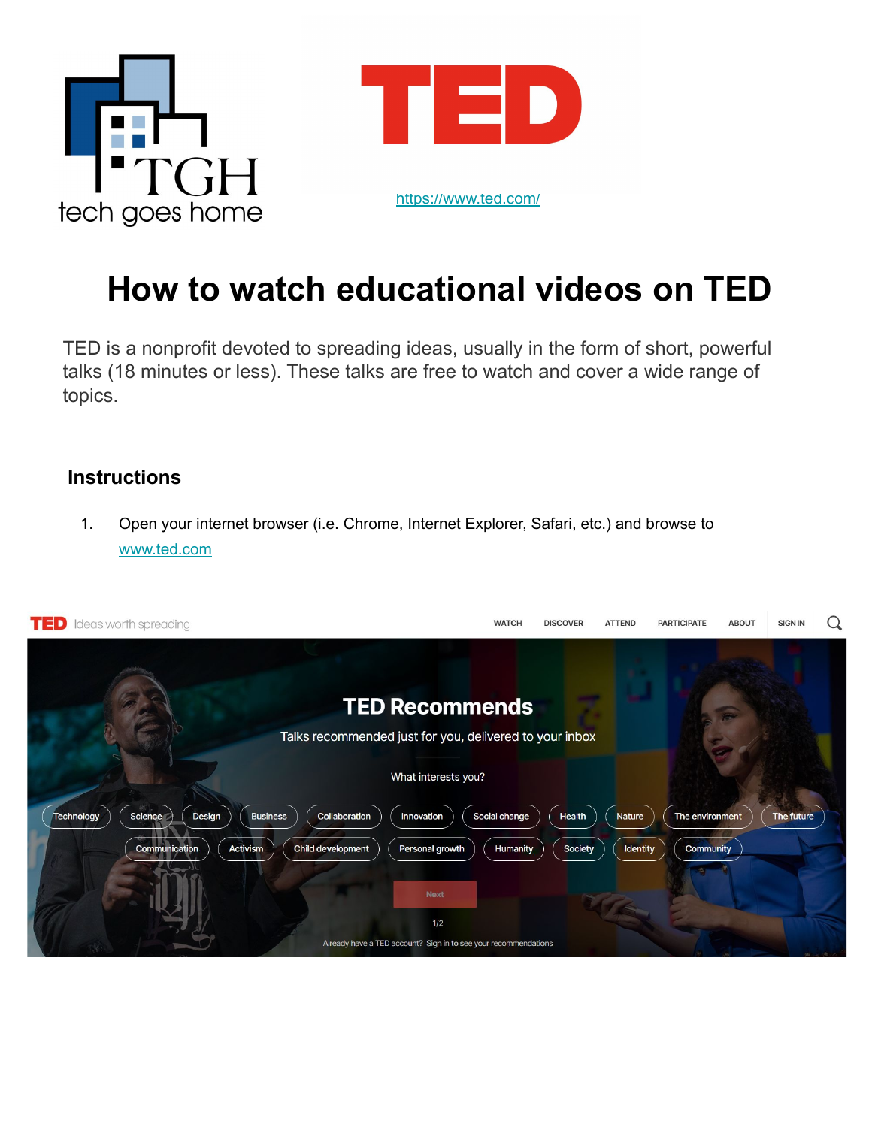



## **How to watch educational videos on TED**

TED is a nonprofit devoted to spreading ideas, usually in the form of short, powerful talks (18 minutes or less). These talks are free to watch and cover a wide range of topics.

## **Instructions**

1. Open your internet browser (i.e. Chrome, Internet Explorer, Safari, etc.) and browse to [www.ted.com](http://www.ted.com)

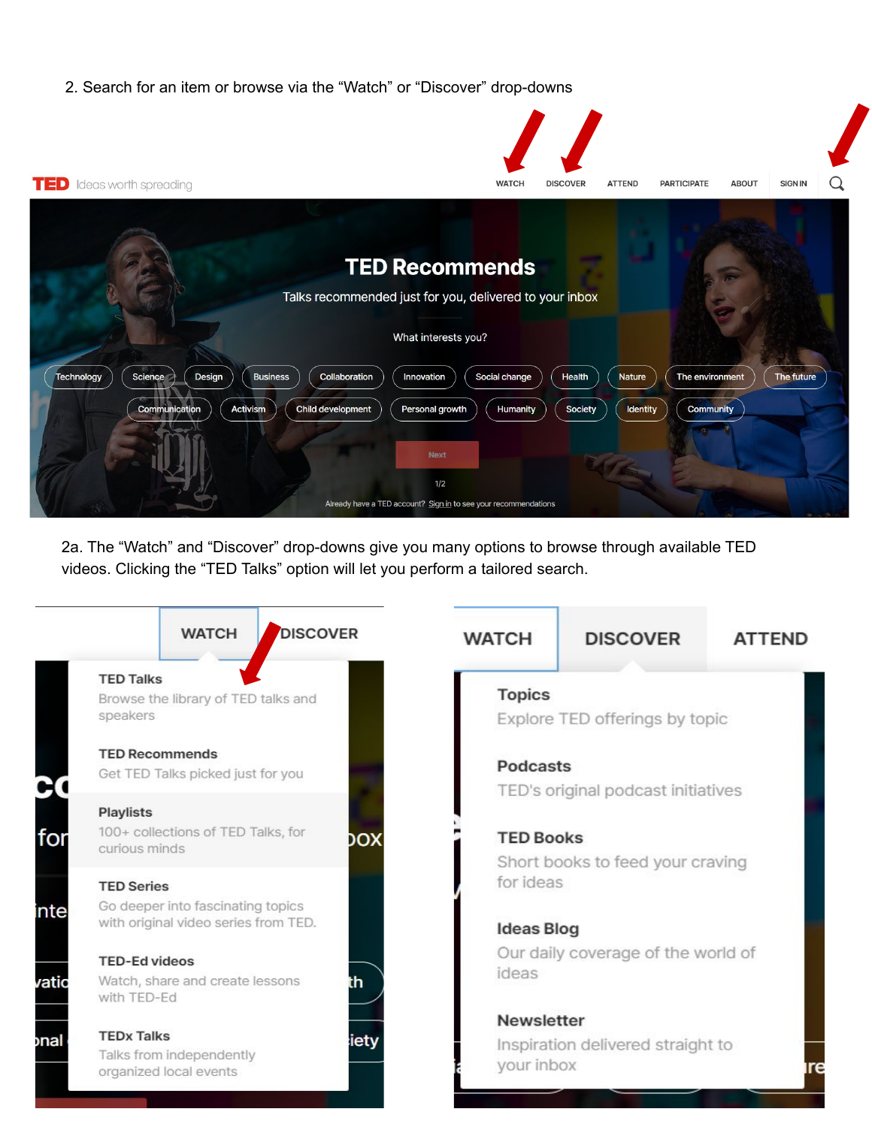2. Search for an item or browse via the "Watch" or "Discover" drop-downs



2a. The "Watch" and "Discover" drop-downs give you many options to browse through available TED videos. Clicking the "TED Talks" option will let you perform a tailored search.

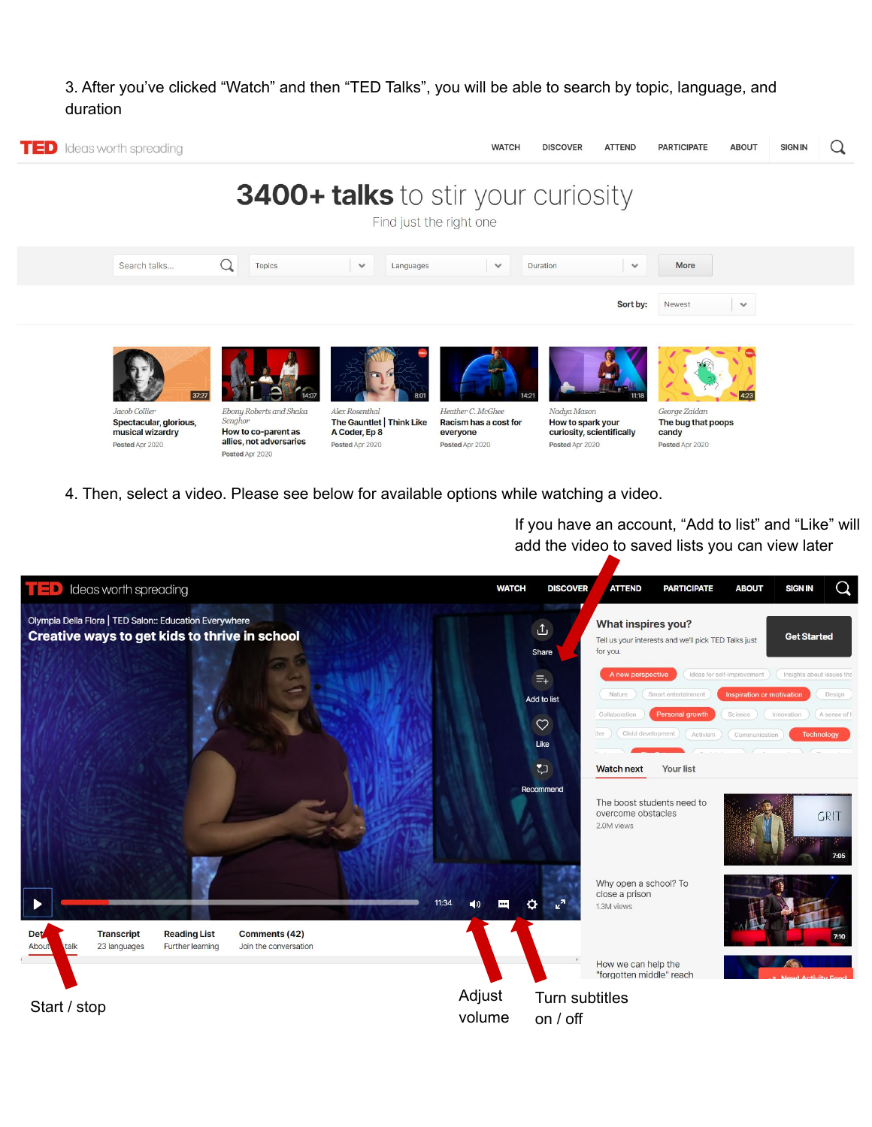## 3. After you've clicked "Watch" and then "TED Talks", you will be able to search by topic, language, and duration



4. Then, select a video. Please see below for available options while watching a video.

If you have an account, "Add to list" and "Like" will add the video to saved lists you can view later